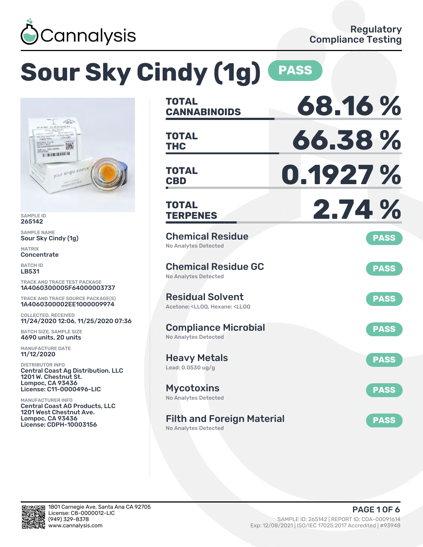

# **Sour Sky Cindy (1g) PASS**



SAMPLE ID 265142

SAMPLE NAME Sour Sky Cindy (1g)

MATRIX Concentrate

BATCH ID LB531

TRACK AND TRACE TEST PACKAGE 1A4060300005F64000003737

TRACK AND TRACE SOURCE PACKAGE(S) 1A4060300002EE1000009974

COLLECTED, RECEIVED 11/24/2020 12:06, 11/25/2020 07:36

BATCH SIZE, SAMPLE SIZE 4690 units, 20 units

MANUFACTURE DATE 11/12/2020

DISTRIBUTOR INFO Central Coast Ag Distribution, LLC 1201 W. Chestnut St. Lompoc, CA 93436 License: C11-0000496-LIC

MANUFACTURER INFO Central Coast AG Products, LLC 1201 West Chestnut Ave. Lompoc, CA 93436 License: CDPH-10003156

| TOTAL<br><b>CANNABINOIDS</b>                                                                       | 68.16%      |
|----------------------------------------------------------------------------------------------------|-------------|
| <b>TOTAL</b><br>THC                                                                                | 66.38%      |
| <b>TOTAL</b><br><b>CBD</b>                                                                         | 0.1927 %    |
| <b>TOTAL</b><br><b>TERPENES</b>                                                                    | 2.74 %      |
| <b>Chemical Residue</b><br><b>No Analytes Detected</b>                                             | <b>PASS</b> |
| <b>Chemical Residue GC</b><br><b>No Analytes Detected</b>                                          | <b>PASS</b> |
| <b>Residual Solvent</b><br>Acetone: <ll00. <ll00<="" hexane:="" td=""><td><b>PASS</b></td></ll00.> | <b>PASS</b> |
| <b>Compliance Microbial</b><br><b>No Analytes Detected</b>                                         | <b>PASS</b> |
| <b>Heavy Metals</b><br>Lead: 0.0530 ug/g                                                           | <b>PASS</b> |
| <b>Mycotoxins</b><br><b>No Analytes Detected</b>                                                   | <b>PASS</b> |
| <b>Filth and Foreign Material</b>                                                                  | <b>PASS</b> |

No Analytes Detected

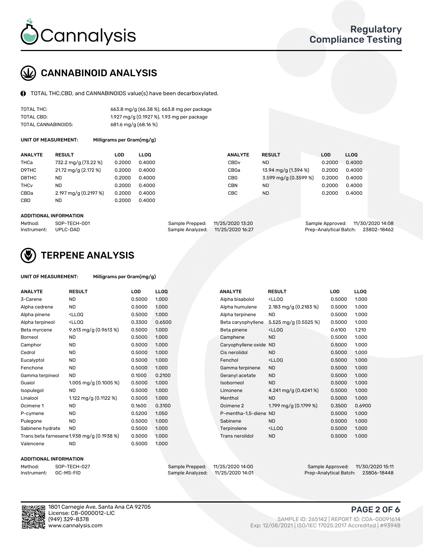

## CANNABINOID ANALYSIS

TOTAL THC,CBD, and CANNABINOIDS value(s) have been decarboxylated.

| TOTAL THC:          | 663.8 mg/g (66.38 %), 663.8 mg per package |
|---------------------|--------------------------------------------|
| TOTAL CBD:          | 1.927 mg/g (0.1927 %), 1.93 mg per package |
| TOTAL CANNABINOIDS: | 681.6 mg/g (68.16 %)                       |

UNIT OF MEASUREMENT:

| Milligrams per Gram(mg/g) |  |
|---------------------------|--|
|---------------------------|--|

| <b>ANALYTE</b>         | <b>RESULT</b>         | LOD    | <b>LLOO</b> | <b>ANALYTE</b>   | <b>RESULT</b>         | LOD    | <b>LLOO</b> |
|------------------------|-----------------------|--------|-------------|------------------|-----------------------|--------|-------------|
| THCa                   | 732.2 mg/g (73.22 %)  | 0.2000 | 0.4000      | CBD <sub>v</sub> | ND.                   | 0.2000 | 0.4000      |
| D9THC                  | 21.72 mg/g (2.172 %)  | 0.2000 | 0.4000      | CBGa             | 13.94 mg/g (1.394 %)  | 0.2000 | 0.4000      |
| D8THC                  | <b>ND</b>             | 0.2000 | 0.4000      | <b>CBG</b>       | 3.599 mg/g (0.3599 %) | 0.2000 | 0.4000      |
| <b>THC<sub>v</sub></b> | <b>ND</b>             | 0.2000 | 0.4000      | CBN              | ND.                   | 0.2000 | 0.4000      |
| CBDa                   | 2.197 mg/g (0.2197 %) | 0.2000 | 0.4000      | CBC              | ND.                   | 0.2000 | 0.4000      |
| CBD                    | <b>ND</b>             | 0.2000 | 0.4000      |                  |                       |        |             |
|                        |                       |        |             |                  |                       |        |             |

#### ADDITIONAL INFORMATION

| Method:              | SOP-TECH-001 | Sample Prepped: 11/25/2020 13:20  | Sample Approved: 11/30/2020 14:08  |  |
|----------------------|--------------|-----------------------------------|------------------------------------|--|
| Instrument: UPLC-DAD |              | Sample Analyzed: 11/25/2020 16:27 | Prep-Analytical Batch: 23802-18462 |  |



### TERPENE ANALYSIS

| UNIT OF MEASUREMENT: | Milligrams per Gram(mg/g) |
|----------------------|---------------------------|
|----------------------|---------------------------|

| <b>ANALYTE</b>   | <b>RESULT</b>                                                                                                                             | <b>LOD</b> | <b>LLOQ</b> | <b>ANALYTE</b>         | <b>RESULT</b>                                      | <b>LOD</b> | <b>LLOQ</b> |
|------------------|-------------------------------------------------------------------------------------------------------------------------------------------|------------|-------------|------------------------|----------------------------------------------------|------------|-------------|
| 3-Carene         | <b>ND</b>                                                                                                                                 | 0.5000     | 1.000       | Alpha bisabolol        | <lloq< td=""><td>0.5000</td><td>1.000</td></lloq<> | 0.5000     | 1.000       |
| Alpha cedrene    | <b>ND</b>                                                                                                                                 | 0.5000     | 1.000       | Alpha humulene         | 2.183 mg/g (0.2183 %)                              | 0.5000     | 1.000       |
| Alpha pinene     | <ll0q< td=""><td>0.5000</td><td>1.000</td><td>Alpha terpinene</td><td><b>ND</b></td><td>0.5000</td><td>1.000</td></ll0q<>                 | 0.5000     | 1.000       | Alpha terpinene        | <b>ND</b>                                          | 0.5000     | 1.000       |
| Alpha terpineol  | <ll0q< td=""><td>0.3300</td><td>0.6500</td><td>Beta caryophyllene</td><td>5.525 mg/g (0.5525 %)</td><td>0.5000</td><td>1.000</td></ll0q<> | 0.3300     | 0.6500      | Beta caryophyllene     | 5.525 mg/g (0.5525 %)                              | 0.5000     | 1.000       |
| Beta myrcene     | 9.613 mg/g $(0.9613\%)$                                                                                                                   | 0.5000     | 1.000       | Beta pinene            | <lloq< td=""><td>0.6100</td><td>1.210</td></lloq<> | 0.6100     | 1.210       |
| Borneol          | <b>ND</b>                                                                                                                                 | 0.5000     | 1.000       | Camphene               | <b>ND</b>                                          | 0.5000     | 1.000       |
| Camphor          | <b>ND</b>                                                                                                                                 | 0.5000     | 1.000       | Caryophyllene oxide ND |                                                    | 0.5000     | 1.000       |
| Cedrol           | <b>ND</b>                                                                                                                                 | 0.5000     | 1.000       | Cis nerolidol          | <b>ND</b>                                          | 0.5000     | 1.000       |
| Eucalyptol       | <b>ND</b>                                                                                                                                 | 0.5000     | 1.000       | Fenchol                | <lloq< td=""><td>0.5000</td><td>1.000</td></lloq<> | 0.5000     | 1.000       |
| Fenchone         | <b>ND</b>                                                                                                                                 | 0.5000     | 1.000       | Gamma terpinene        | <b>ND</b>                                          | 0.5000     | 1.000       |
| Gamma terpineol  | <b>ND</b>                                                                                                                                 | 0.1000     | 0.2100      | Geranyl acetate        | <b>ND</b>                                          | 0.5000     | 1.000       |
| Guaiol           | 1.005 mg/g $(0.1005\%)$                                                                                                                   | 0.5000     | 1.000       | Isoborneol             | <b>ND</b>                                          | 0.5000     | 1.000       |
| Isopulegol       | <b>ND</b>                                                                                                                                 | 0.5000     | 1.000       | Limonene               | 4.241 mg/g (0.4241%)                               | 0.5000     | 1.000       |
| Linalool         | 1.122 mg/g $(0.1122%)$                                                                                                                    | 0.5000     | 1.000       | Menthol                | <b>ND</b>                                          | 0.5000     | 1.000       |
| Ocimene 1        | <b>ND</b>                                                                                                                                 | 0.1600     | 0.3100      | Ocimene 2              | 1.799 mg/g (0.1799 %)                              | 0.3500     | 0.6900      |
| P-cymene         | <b>ND</b>                                                                                                                                 | 0.5200     | 1.050       | P-mentha-1,5-diene ND  |                                                    | 0.5000     | 1.000       |
| Pulegone         | <b>ND</b>                                                                                                                                 | 0.5000     | 1.000       | Sabinene               | <b>ND</b>                                          | 0.5000     | 1.000       |
| Sabinene hydrate | <b>ND</b>                                                                                                                                 | 0.5000     | 1.000       | Terpinolene            | <lloq< td=""><td>0.5000</td><td>1.000</td></lloq<> | 0.5000     | 1.000       |
|                  | Trans beta farnesene 1.938 mg/g (0.1938 %)                                                                                                | 0.5000     | 1.000       | Trans nerolidol        | <b>ND</b>                                          | 0.5000     | 1.000       |
| Valencene        | <b>ND</b>                                                                                                                                 | 0.5000     | 1.000       |                        |                                                    |            |             |

#### ADDITIONAL INFORMATION

| Method:     | SOP-TECH  |
|-------------|-----------|
| Instrument: | GC-MS-FII |

Method: SOP-TECH-027 Sample Prepped: 11/25/2020 14:00 Sample Approved: 11/30/2020 15:11 Prep-Analytical Batch: 23806-18448

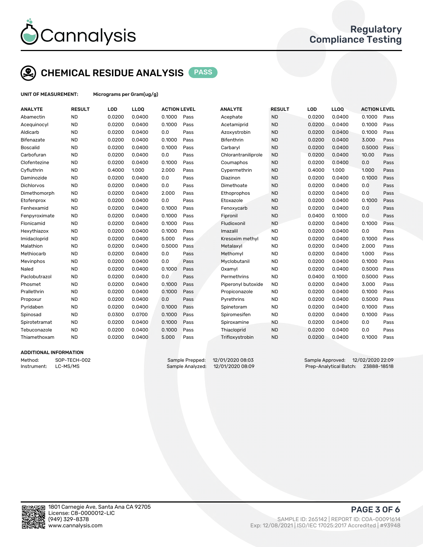

## CHEMICAL RESIDUE ANALYSIS PASS

UNIT OF MEASUREMENT: Micrograms per Gram(ug/g)

| <b>ANALYTE</b>  | <b>RESULT</b> | LOD    | LL <sub>OO</sub> | <b>ACTION LEVEL</b> |      | <b>ANALYTE</b>      | <b>RESULT</b> | LOD    | LL <sub>OO</sub> | <b>ACTION LEVEL</b> |      |
|-----------------|---------------|--------|------------------|---------------------|------|---------------------|---------------|--------|------------------|---------------------|------|
| Abamectin       | <b>ND</b>     | 0.0200 | 0.0400           | 0.1000              | Pass | Acephate            | <b>ND</b>     | 0.0200 | 0.0400           | 0.1000              | Pass |
| Acequinocyl     | <b>ND</b>     | 0.0200 | 0.0400           | 0.1000              | Pass | Acetamiprid         | <b>ND</b>     | 0.0200 | 0.0400           | 0.1000              | Pass |
| Aldicarb        | <b>ND</b>     | 0.0200 | 0.0400           | 0.0                 | Pass | Azoxystrobin        | <b>ND</b>     | 0.0200 | 0.0400           | 0.1000              | Pass |
| Bifenazate      | <b>ND</b>     | 0.0200 | 0.0400           | 0.1000              | Pass | <b>Bifenthrin</b>   | <b>ND</b>     | 0.0200 | 0.0400           | 3.000               | Pass |
| <b>Boscalid</b> | <b>ND</b>     | 0.0200 | 0.0400           | 0.1000              | Pass | Carbaryl            | <b>ND</b>     | 0.0200 | 0.0400           | 0.5000              | Pass |
| Carbofuran      | <b>ND</b>     | 0.0200 | 0.0400           | 0.0                 | Pass | Chlorantraniliprole | <b>ND</b>     | 0.0200 | 0.0400           | 10.00               | Pass |
| Clofentezine    | <b>ND</b>     | 0.0200 | 0.0400           | 0.1000              | Pass | Coumaphos           | <b>ND</b>     | 0.0200 | 0.0400           | 0.0                 | Pass |
| Cyfluthrin      | <b>ND</b>     | 0.4000 | 1.000            | 2.000               | Pass | Cypermethrin        | <b>ND</b>     | 0.4000 | 1.000            | 1.000               | Pass |
| Daminozide      | <b>ND</b>     | 0.0200 | 0.0400           | 0.0                 | Pass | Diazinon            | <b>ND</b>     | 0.0200 | 0.0400           | 0.1000              | Pass |
| Dichlorvos      | <b>ND</b>     | 0.0200 | 0.0400           | 0.0                 | Pass | Dimethoate          | <b>ND</b>     | 0.0200 | 0.0400           | 0.0                 | Pass |
| Dimethomorph    | <b>ND</b>     | 0.0200 | 0.0400           | 2.000               | Pass | Ethoprophos         | <b>ND</b>     | 0.0200 | 0.0400           | 0.0                 | Pass |
| Etofenprox      | <b>ND</b>     | 0.0200 | 0.0400           | 0.0                 | Pass | Etoxazole           | <b>ND</b>     | 0.0200 | 0.0400           | 0.1000              | Pass |
| Fenhexamid      | <b>ND</b>     | 0.0200 | 0.0400           | 0.1000              | Pass | Fenoxycarb          | <b>ND</b>     | 0.0200 | 0.0400           | 0.0                 | Pass |
| Fenpyroximate   | <b>ND</b>     | 0.0200 | 0.0400           | 0.1000              | Pass | Fipronil            | <b>ND</b>     | 0.0400 | 0.1000           | 0.0                 | Pass |
| Flonicamid      | <b>ND</b>     | 0.0200 | 0.0400           | 0.1000              | Pass | Fludioxonil         | <b>ND</b>     | 0.0200 | 0.0400           | 0.1000              | Pass |
| Hexythiazox     | <b>ND</b>     | 0.0200 | 0.0400           | 0.1000              | Pass | Imazalil            | <b>ND</b>     | 0.0200 | 0.0400           | 0.0                 | Pass |
| Imidacloprid    | <b>ND</b>     | 0.0200 | 0.0400           | 5.000               | Pass | Kresoxim methyl     | <b>ND</b>     | 0.0200 | 0.0400           | 0.1000              | Pass |
| Malathion       | <b>ND</b>     | 0.0200 | 0.0400           | 0.5000              | Pass | Metalaxyl           | <b>ND</b>     | 0.0200 | 0.0400           | 2.000               | Pass |
| Methiocarb      | <b>ND</b>     | 0.0200 | 0.0400           | 0.0                 | Pass | Methomyl            | <b>ND</b>     | 0.0200 | 0.0400           | 1.000               | Pass |
| Mevinphos       | <b>ND</b>     | 0.0200 | 0.0400           | 0.0                 | Pass | Myclobutanil        | <b>ND</b>     | 0.0200 | 0.0400           | 0.1000              | Pass |
| Naled           | <b>ND</b>     | 0.0200 | 0.0400           | 0.1000              | Pass | Oxamyl              | <b>ND</b>     | 0.0200 | 0.0400           | 0.5000              | Pass |
| Paclobutrazol   | <b>ND</b>     | 0.0200 | 0.0400           | 0.0                 | Pass | Permethrins         | <b>ND</b>     | 0.0400 | 0.1000           | 0.5000              | Pass |
| Phosmet         | <b>ND</b>     | 0.0200 | 0.0400           | 0.1000              | Pass | Piperonyl butoxide  | <b>ND</b>     | 0.0200 | 0.0400           | 3.000               | Pass |
| Prallethrin     | <b>ND</b>     | 0.0200 | 0.0400           | 0.1000              | Pass | Propiconazole       | <b>ND</b>     | 0.0200 | 0.0400           | 0.1000              | Pass |
| Propoxur        | <b>ND</b>     | 0.0200 | 0.0400           | 0.0                 | Pass | Pyrethrins          | <b>ND</b>     | 0.0200 | 0.0400           | 0.5000              | Pass |
| Pyridaben       | <b>ND</b>     | 0.0200 | 0.0400           | 0.1000              | Pass | Spinetoram          | <b>ND</b>     | 0.0200 | 0.0400           | 0.1000              | Pass |
| Spinosad        | <b>ND</b>     | 0.0300 | 0.0700           | 0.1000              | Pass | Spiromesifen        | <b>ND</b>     | 0.0200 | 0.0400           | 0.1000              | Pass |
| Spirotetramat   | <b>ND</b>     | 0.0200 | 0.0400           | 0.1000              | Pass | Spiroxamine         | <b>ND</b>     | 0.0200 | 0.0400           | 0.0                 | Pass |
| Tebuconazole    | <b>ND</b>     | 0.0200 | 0.0400           | 0.1000              | Pass | Thiacloprid         | <b>ND</b>     | 0.0200 | 0.0400           | 0.0                 | Pass |
| Thiamethoxam    | <b>ND</b>     | 0.0200 | 0.0400           | 5.000               | Pass | Trifloxystrobin     | <b>ND</b>     | 0.0200 | 0.0400           | 0.1000              | Pass |
|                 |               |        |                  |                     |      |                     |               |        |                  |                     |      |

#### ADDITIONAL INFORMATION

Method: SOP-TECH-002 Sample Prepped: 12/01/2020 08:03 Sample Approved: 12/02/2020 22:09 Instrument: LC-MS/MS Sample Analyzed: 12/01/2020 08:09 Prep-Analytical Batch: 23888-18518

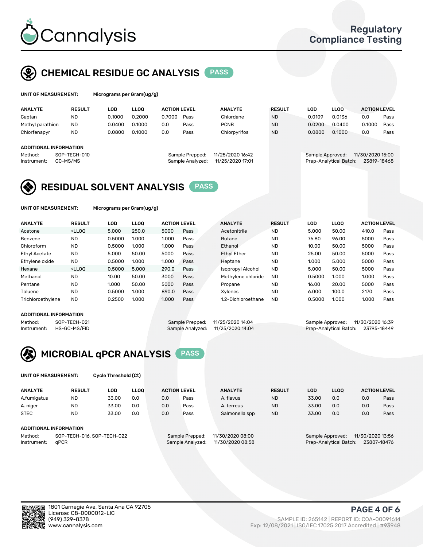

### CHEMICAL RESIDUE GC ANALYSIS PASS

| Microg |
|--------|
|        |

rams per Gram(ug/g)

| <b>ANALYTE</b>                              | <b>RESULT</b> | LOD    | <b>LLOO</b> | <b>ACTION LEVEL</b> |                  | <b>ANALYTE</b>   | <b>RESULT</b> | LOD                    | <b>LLOO</b> | <b>ACTION LEVEL</b> |      |
|---------------------------------------------|---------------|--------|-------------|---------------------|------------------|------------------|---------------|------------------------|-------------|---------------------|------|
| Captan                                      | <b>ND</b>     | 0.1000 | 0.2000      | 0.7000              | Pass             | Chlordane        | <b>ND</b>     | 0.0109                 | 0.0136      | 0.0                 | Pass |
| Methyl parathion                            | <b>ND</b>     | 0.0400 | 0.1000      | 0.0                 | Pass             | <b>PCNB</b>      | <b>ND</b>     | 0.0200                 | 0.0400      | 0.1000              | Pass |
| Chlorfenapyr                                | <b>ND</b>     | 0.0800 | 0.1000      | 0.0                 | Pass             | Chlorpyrifos     | <b>ND</b>     | 0.0800                 | 0.1000      | 0.0                 | Pass |
|                                             |               |        |             |                     |                  |                  |               |                        |             |                     |      |
| ADDITIONAL INFORMATION                      |               |        |             |                     |                  |                  |               |                        |             |                     |      |
| Method:                                     | SOP-TECH-010  |        |             |                     | Sample Prepped:  | 11/25/2020 16:42 |               | Sample Approved:       |             | 11/30/2020 15:00    |      |
| GC-MS/MS<br>Sample Analyzed:<br>Instrument: |               |        |             |                     | 11/25/2020 17:01 |                  |               | Prep-Analytical Batch: | 23819-18468 |                     |      |
|                                             |               |        |             |                     |                  |                  |               |                        |             |                     |      |

### RESIDUAL SOLVENT ANALYSIS PASS

UNIT OF MEASUREMENT: Micrograms per Gram(ug/g)

| <b>ANALYTE</b>       | <b>RESULT</b>                                                                                                                                                                          | LOD    | <b>LLOO</b> | <b>ACTION LEVEL</b> |      | <b>ANALYTE</b>           | <b>RESULT</b> | LOD    | <b>LLOO</b> | <b>ACTION LEVEL</b> |      |
|----------------------|----------------------------------------------------------------------------------------------------------------------------------------------------------------------------------------|--------|-------------|---------------------|------|--------------------------|---------------|--------|-------------|---------------------|------|
| Acetone              | <lloq< td=""><td>5.000</td><td>250.0</td><td>5000</td><td>Pass</td><td>Acetonitrile</td><td><b>ND</b></td><td>5.000</td><td>50.00</td><td>410.0</td><td>Pass</td></lloq<>              | 5.000  | 250.0       | 5000                | Pass | Acetonitrile             | <b>ND</b>     | 5.000  | 50.00       | 410.0               | Pass |
| Benzene              | <b>ND</b>                                                                                                                                                                              | 0.5000 | 1.000       | 1.000               | Pass | <b>Butane</b>            | <b>ND</b>     | 76.80  | 96.00       | 5000                | Pass |
| Chloroform           | <b>ND</b>                                                                                                                                                                              | 0.5000 | 1.000       | 1.000               | Pass | Ethanol                  | <b>ND</b>     | 10.00  | 50.00       | 5000                | Pass |
| <b>Ethyl Acetate</b> | <b>ND</b>                                                                                                                                                                              | 5.000  | 50.00       | 5000                | Pass | <b>Ethyl Ether</b>       | <b>ND</b>     | 25.00  | 50.00       | 5000                | Pass |
| Ethylene oxide       | <b>ND</b>                                                                                                                                                                              | 0.5000 | 1.000       | 1.000               | Pass | Heptane                  | <b>ND</b>     | 1.000  | 5.000       | 5000                | Pass |
| Hexane               | <lloo< td=""><td>0.5000</td><td>5.000</td><td>290.0</td><td>Pass</td><td><b>Isopropyl Alcohol</b></td><td><b>ND</b></td><td>5.000</td><td>50.00</td><td>5000</td><td>Pass</td></lloo<> | 0.5000 | 5.000       | 290.0               | Pass | <b>Isopropyl Alcohol</b> | <b>ND</b>     | 5.000  | 50.00       | 5000                | Pass |
| Methanol             | <b>ND</b>                                                                                                                                                                              | 10.00  | 50.00       | 3000                | Pass | Methylene chloride       | <b>ND</b>     | 0.5000 | 1.000       | 1.000               | Pass |
| Pentane              | <b>ND</b>                                                                                                                                                                              | 1.000  | 50.00       | 5000                | Pass | Propane                  | <b>ND</b>     | 16.00  | 20.00       | 5000                | Pass |
| Toluene              | <b>ND</b>                                                                                                                                                                              | 0.5000 | 1.000       | 890.0               | Pass | Xvlenes                  | <b>ND</b>     | 6.000  | 100.0       | 2170                | Pass |
| Trichloroethylene    | <b>ND</b>                                                                                                                                                                              | 0.2500 | 1.000       | 1.000               | Pass | 1.2-Dichloroethane       | <b>ND</b>     | 0.5000 | 1.000       | 1.000               | Pass |

#### ADDITIONAL INFORMATION

Method: SOP-TECH-021 Sample Prepped: 11/25/2020 14:04 Sample Approved: 11/30/2020 16:39<br>Sample Analyzed: 11/25/2020 14:04 Prep-Analytical Batch: 23795-18449 Prep-Analytical Batch: 23795-18449



UNIT OF MEASUREMENT: Cycle Threshold (Ct)

| <b>ANALYTE</b>         | <b>RESULT</b> | LOD   | <b>LLOO</b> |     | <b>ACTION LEVEL</b> | <b>ANALYTE</b> | <b>RESULT</b> | LOD   | <b>LLOO</b> |     | <b>ACTION LEVEL</b> |
|------------------------|---------------|-------|-------------|-----|---------------------|----------------|---------------|-------|-------------|-----|---------------------|
| A.fumigatus            | <b>ND</b>     | 33.00 | 0.0         | 0.0 | Pass                | A. flavus      | <b>ND</b>     | 33.00 | 0.0         | 0.0 | Pass                |
| A. niger               | <b>ND</b>     | 33.00 | 0.0         | 0.0 | Pass                | A. terreus     | <b>ND</b>     | 33.00 | 0.0         | 0.0 | Pass                |
| <b>STEC</b>            | <b>ND</b>     | 33.00 | 0.0         | 0.0 | Pass                | Salmonella spp | <b>ND</b>     | 33.00 | 0.0         | 0.0 | Pass                |
| ADDITIONAL INFORMATION |               |       |             |     |                     |                |               |       |             |     |                     |
|                        |               |       |             |     |                     |                |               |       |             |     |                     |

Method: SOP-TECH-016, SOP-TECH-022 Sample Prepped: 11/30/2020 08:00 Sample Approved: 11/30/2020 13:56<br>Sample Analyzed: 11/30/2020 08:58 Prep-Analytical Batch: 23807-18476 Instrument: qPCR Sample Analyzed: 11/30/2020 08:58 Prep-Analytical Batch: 23807-18476

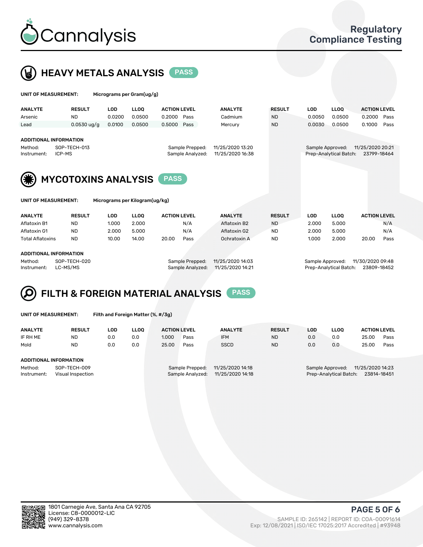



| UNIT OF MEASUREMENT:                                                                                                                                             |                            |                      | Micrograms per Gram(ug/g) |                               |      |                           |                            |                      |                        |                                 |      |
|------------------------------------------------------------------------------------------------------------------------------------------------------------------|----------------------------|----------------------|---------------------------|-------------------------------|------|---------------------------|----------------------------|----------------------|------------------------|---------------------------------|------|
| <b>ANALYTE</b><br>Arsenic                                                                                                                                        | <b>RESULT</b><br><b>ND</b> | <b>LOD</b><br>0.0200 | <b>LLOO</b><br>0.0500     | <b>ACTION LEVEL</b><br>0.2000 | Pass | <b>ANALYTE</b><br>Cadmium | <b>RESULT</b><br><b>ND</b> | <b>LOD</b><br>0.0050 | <b>LLOQ</b><br>0.0500  | <b>ACTION LEVEL</b><br>0.2000   | Pass |
| Lead                                                                                                                                                             | $0.0530$ ug/g              | 0.0100               | 0.0500                    | 0.5000                        | Pass | Mercury                   | <b>ND</b>                  | 0.0030               | 0.0500                 | 0.1000                          | Pass |
| <b>ADDITIONAL INFORMATION</b><br>SOP-TECH-013<br>11/25/2020 13:20<br>Method:<br>Sample Prepped:<br>11/25/2020 16:38<br>Sample Analyzed:<br>ICP-MS<br>Instrument: |                            |                      |                           |                               |      |                           |                            | Sample Approved:     | Prep-Analytical Batch: | 11/25/2020 20:21<br>23799-18464 |      |
|                                                                                                                                                                  | <b>MYCOTOXINS ANALYSIS</b> |                      |                           |                               |      |                           |                            |                      |                        |                                 |      |
| UNIT OF MEASUREMENT:<br>Micrograms per Kilogram(ug/kg)                                                                                                           |                            |                      |                           |                               |      |                           |                            |                      |                        |                                 |      |

| <b>ANALYTE</b>          | <b>RESULT</b> | LOD             | <b>LLOO</b>      | <b>ACTION LEVEL</b> | <b>ANALYTE</b>   | <b>RESULT</b> | LOD              | <b>LLOO</b> | <b>ACTION LEVEL</b> |      |
|-------------------------|---------------|-----------------|------------------|---------------------|------------------|---------------|------------------|-------------|---------------------|------|
| Aflatoxin B1            | <b>ND</b>     | 1.000           | 2.000            | N/A                 | Aflatoxin B2     | <b>ND</b>     | 2.000            | 5.000       |                     | N/A  |
| Aflatoxin G1            | <b>ND</b>     | 2.000           | 5.000            | N/A                 | Aflatoxin G2     | ND            | 2.000            | 5.000       |                     | N/A  |
| <b>Total Aflatoxins</b> | <b>ND</b>     | 10.00           | 14.00            | 20.00<br>Pass       | Ochratoxin A     | <b>ND</b>     | 1.000            | 2.000       | 20.00               | Pass |
| ADDITIONAL INFORMATION  |               |                 |                  |                     |                  |               |                  |             |                     |      |
| SOP-TECH-020<br>Method: |               | Sample Prepped: | 11/25/2020 14:03 |                     | Sample Approved: |               | 11/30/2020 09:48 |             |                     |      |

Instrument: LC-MS/MS Sample Analyzed: 11/25/2020 14:21 Prep-Analytical Batch: 23809-18452

### FILTH & FOREIGN MATERIAL ANALYSIS PASS Q

UNIT OF MEASUREMENT: Filth and Foreign Matter (%, #/3g)

| <b>ANALYTE</b>                                              | <b>RESULT</b> | LOD | <b>LLOO</b> | <b>ACTION LEVEL</b> |                                     | <b>ANALYTE</b>                       | <b>RESULT</b> | LOD | <b>LLOO</b>                                | <b>ACTION LEVEL</b>             |      |
|-------------------------------------------------------------|---------------|-----|-------------|---------------------|-------------------------------------|--------------------------------------|---------------|-----|--------------------------------------------|---------------------------------|------|
| IF RH ME                                                    | ND            | 0.0 | 0.0         | 1.000               | Pass                                | <b>IFM</b>                           | <b>ND</b>     | 0.0 | 0.0                                        | 25.00                           | Pass |
| Mold                                                        | <b>ND</b>     | 0.0 | 0.0         | 25.00               | Pass                                | <b>SSCD</b>                          | <b>ND</b>     | 0.0 | 0.0                                        | 25.00                           | Pass |
| ADDITIONAL INFORMATION                                      |               |     |             |                     |                                     |                                      |               |     |                                            |                                 |      |
| Method:<br>SOP-TECH-009<br>Instrument:<br>Visual Inspection |               |     |             |                     | Sample Prepped:<br>Sample Analyzed: | 11/25/2020 14:18<br>11/25/2020 14:18 |               |     | Sample Approved:<br>Prep-Analytical Batch: | 11/25/2020 14:23<br>23814-18451 |      |